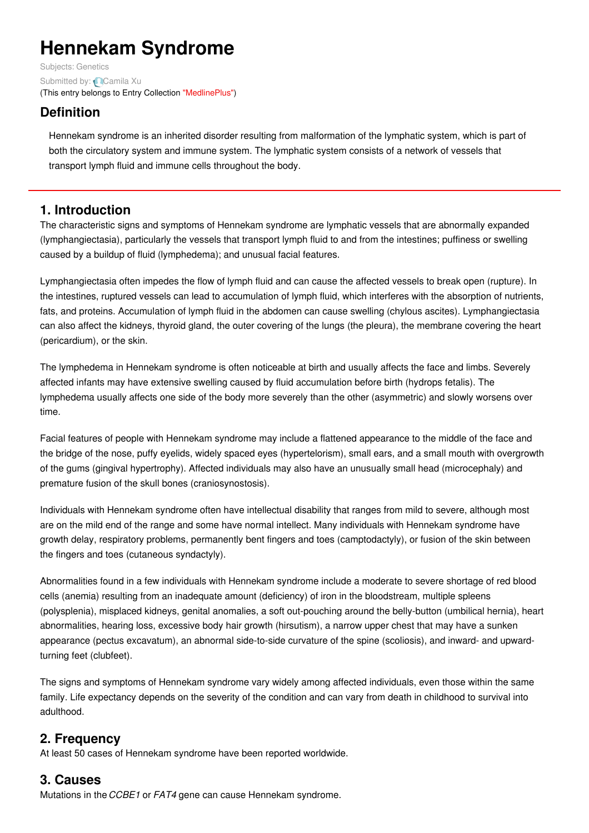# **Hennekam Syndrome**

Subjects: [Genetics](https://encyclopedia.pub/item/subject/56) Submitted by: [Camila](https://sciprofiles.com/profile/892582) Xu (This entry belongs to Entry Collection ["MedlinePlus"](https://encyclopedia.pub/entry/collection/24))

# **Definition**

Hennekam syndrome is an inherited disorder resulting from malformation of the lymphatic system, which is part of both the circulatory system and immune system. The lymphatic system consists of a network of vessels that transport lymph fluid and immune cells throughout the body.

## **1. Introduction**

The characteristic signs and symptoms of Hennekam syndrome are lymphatic vessels that are abnormally expanded (lymphangiectasia), particularly the vessels that transport lymph fluid to and from the intestines; puffiness or swelling caused by a buildup of fluid (lymphedema); and unusual facial features.

Lymphangiectasia often impedes the flow of lymph fluid and can cause the affected vessels to break open (rupture). In the intestines, ruptured vessels can lead to accumulation of lymph fluid, which interferes with the absorption of nutrients, fats, and proteins. Accumulation of lymph fluid in the abdomen can cause swelling (chylous ascites). Lymphangiectasia can also affect the kidneys, thyroid gland, the outer covering of the lungs (the pleura), the membrane covering the heart (pericardium), or the skin.

The lymphedema in Hennekam syndrome is often noticeable at birth and usually affects the face and limbs. Severely affected infants may have extensive swelling caused by fluid accumulation before birth (hydrops fetalis). The lymphedema usually affects one side of the body more severely than the other (asymmetric) and slowly worsens over time.

Facial features of people with Hennekam syndrome may include a flattened appearance to the middle of the face and the bridge of the nose, puffy eyelids, widely spaced eyes (hypertelorism), small ears, and a small mouth with overgrowth of the gums (gingival hypertrophy). Affected individuals may also have an unusually small head (microcephaly) and premature fusion of the skull bones (craniosynostosis).

Individuals with Hennekam syndrome often have intellectual disability that ranges from mild to severe, although most are on the mild end of the range and some have normal intellect. Many individuals with Hennekam syndrome have growth delay, respiratory problems, permanently bent fingers and toes (camptodactyly), or fusion of the skin between the fingers and toes (cutaneous syndactyly).

Abnormalities found in a few individuals with Hennekam syndrome include a moderate to severe shortage of red blood cells (anemia) resulting from an inadequate amount (deficiency) of iron in the bloodstream, multiple spleens (polysplenia), misplaced kidneys, genital anomalies, a soft out-pouching around the belly-button (umbilical hernia), heart abnormalities, hearing loss, excessive body hair growth (hirsutism), a narrow upper chest that may have a sunken appearance (pectus excavatum), an abnormal side-to-side curvature of the spine (scoliosis), and inward- and upwardturning feet (clubfeet).

The signs and symptoms of Hennekam syndrome vary widely among affected individuals, even those within the same family. Life expectancy depends on the severity of the condition and can vary from death in childhood to survival into adulthood.

## **2. Frequency**

At least 50 cases of Hennekam syndrome have been reported worldwide.

## **3. Causes**

Mutations in the*CCBE1* or *FAT4* gene can cause Hennekam syndrome.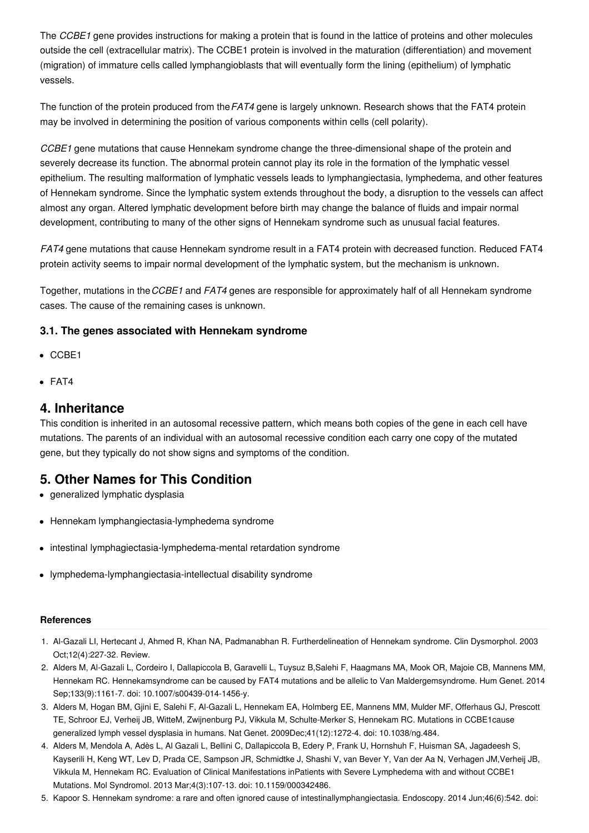The *CCBE1* gene provides instructions for making a protein that is found in the lattice of proteins and other molecules outside the cell (extracellular matrix). The CCBE1 protein is involved in the maturation (differentiation) and movement (migration) of immature cells called lymphangioblasts that will eventually form the lining (epithelium) of lymphatic vessels.

The function of the protein produced from the*FAT4* gene is largely unknown. Research shows that the FAT4 protein may be involved in determining the position of various components within cells (cell polarity).

*CCBE1* gene mutations that cause Hennekam syndrome change the three-dimensional shape of the protein and severely decrease its function. The abnormal protein cannot play its role in the formation of the lymphatic vessel epithelium. The resulting malformation of lymphatic vessels leads to lymphangiectasia, lymphedema, and other features of Hennekam syndrome. Since the lymphatic system extends throughout the body, a disruption to the vessels can affect almost any organ. Altered lymphatic development before birth may change the balance of fluids and impair normal development, contributing to many of the other signs of Hennekam syndrome such as unusual facial features.

*FAT4* gene mutations that cause Hennekam syndrome result in a FAT4 protein with decreased function. Reduced FAT4 protein activity seems to impair normal development of the lymphatic system, but the mechanism is unknown.

Together, mutations in the*CCBE1* and *FAT4* genes are responsible for approximately half of all Hennekam syndrome cases. The cause of the remaining cases is unknown.

### **3.1. The genes associated with Hennekam syndrome**

- CCBE1
- FAT4

## **4. Inheritance**

This condition is inherited in an autosomal recessive pattern, which means both copies of the gene in each cell have mutations. The parents of an individual with an autosomal recessive condition each carry one copy of the mutated gene, but they typically do not show signs and symptoms of the condition.

## **5. Other Names for This Condition**

- generalized lymphatic dysplasia
- Hennekam lymphangiectasia-lymphedema syndrome
- intestinal lymphagiectasia-lymphedema-mental retardation syndrome
- lymphedema-lymphangiectasia-intellectual disability syndrome

#### **References**

- 1. Al-Gazali LI, Hertecant J, Ahmed R, Khan NA, Padmanabhan R. Furtherdelineation of Hennekam syndrome. Clin Dysmorphol. 2003 Oct;12(4):227-32. Review.
- 2. Alders M, Al-Gazali L, Cordeiro I, Dallapiccola B, Garavelli L, Tuysuz B,Salehi F, Haagmans MA, Mook OR, Majoie CB, Mannens MM, Hennekam RC. Hennekamsyndrome can be caused by FAT4 mutations and be allelic to Van Maldergemsyndrome. Hum Genet. 2014 Sep;133(9):1161-7. doi: 10.1007/s00439-014-1456-y.
- 3. Alders M, Hogan BM, Gjini E, Salehi F, Al-Gazali L, Hennekam EA, Holmberg EE, Mannens MM, Mulder MF, Offerhaus GJ, Prescott TE, Schroor EJ, Verheij JB, WitteM, Zwijnenburg PJ, Vikkula M, Schulte-Merker S, Hennekam RC. Mutations in CCBE1cause generalized lymph vessel dysplasia in humans. Nat Genet. 2009Dec;41(12):1272-4. doi: 10.1038/ng.484.
- 4. Alders M, Mendola A, Adès L, Al Gazali L, Bellini C, Dallapiccola B, Edery P, Frank U, Hornshuh F, Huisman SA, Jagadeesh S, Kayserili H, Keng WT, Lev D, Prada CE, Sampson JR, Schmidtke J, Shashi V, van Bever Y, Van der Aa N, Verhagen JM,Verheij JB, Vikkula M, Hennekam RC. Evaluation of Clinical Manifestations inPatients with Severe Lymphedema with and without CCBE1 Mutations. Mol Syndromol. 2013 Mar;4(3):107-13. doi: 10.1159/000342486.
- 5. Kapoor S. Hennekam syndrome: a rare and often ignored cause of intestinallymphangiectasia. Endoscopy. 2014 Jun;46(6):542. doi: